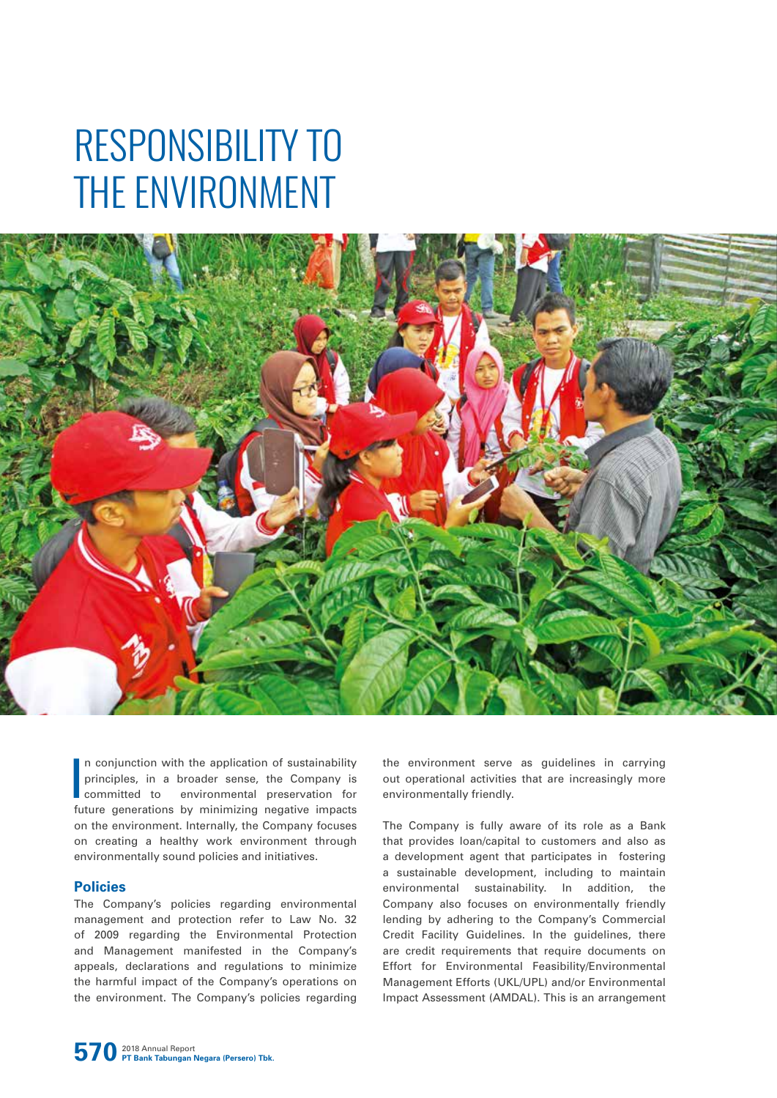# RESPONSIBILITY TO THE ENVIRONMENT



In conjunction with the application of sustainability<br>principles, in a broader sense, the Company is<br>committed to environmental preservation for<br>future generations by minimizing negative impacts n conjunction with the application of sustainability principles, in a broader sense, the Company is committed to environmental preservation for on the environment. Internally, the Company focuses on creating a healthy work environment through environmentally sound policies and initiatives.

# **Policies**

The Company's policies regarding environmental management and protection refer to Law No. 32 of 2009 regarding the Environmental Protection and Management manifested in the Company's appeals, declarations and regulations to minimize the harmful impact of the Company's operations on the environment. The Company's policies regarding

the environment serve as guidelines in carrying out operational activities that are increasingly more environmentally friendly.

The Company is fully aware of its role as a Bank that provides loan/capital to customers and also as a development agent that participates in fostering a sustainable development, including to maintain environmental sustainability. In addition, the Company also focuses on environmentally friendly lending by adhering to the Company's Commercial Credit Facility Guidelines. In the guidelines, there are credit requirements that require documents on Effort for Environmental Feasibility/Environmental Management Efforts (UKL/UPL) and/or Environmental Impact Assessment (AMDAL). This is an arrangement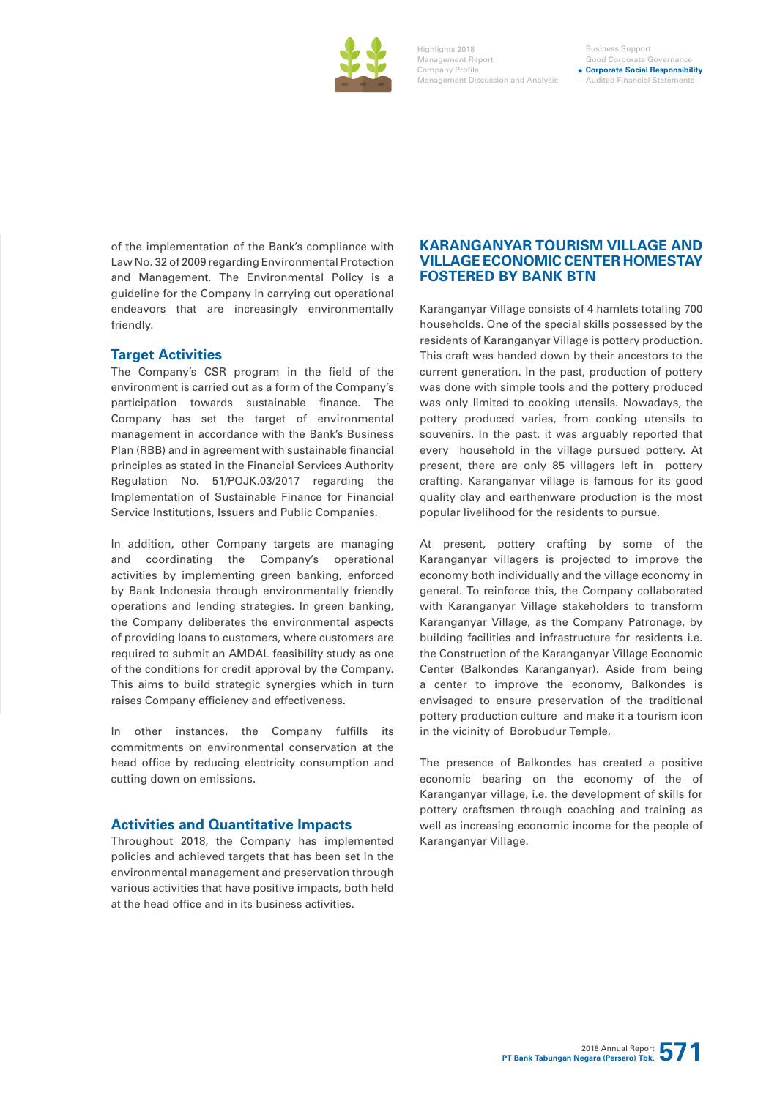

Highlights 2018 Management Report Company Profile Management Discussion and Analysis

#### Business Support Good Corporate Governan **Corporate Social Responsibility** Audited Financial Statements

of the implementation of the Bank's compliance with Law No. 32 of 2009 regarding Environmental Protection and Management. The Environmental Policy is a guideline for the Company in carrying out operational endeavors that are increasingly environmentally friendly.

# **Target Activities**

The Company's CSR program in the field of the environment is carried out as a form of the Company's participation towards sustainable finance. The Company has set the target of environmental management in accordance with the Bank's Business Plan (RBB) and in agreement with sustainable financial principles as stated in the Financial Services Authority Regulation No. 51/POJK.03/2017 regarding the Implementation of Sustainable Finance for Financial Service Institutions, Issuers and Public Companies.

In addition, other Company targets are managing and coordinating the Company's operational activities by implementing green banking, enforced by Bank Indonesia through environmentally friendly operations and lending strategies. In green banking, the Company deliberates the environmental aspects of providing loans to customers, where customers are required to submit an AMDAL feasibility study as one of the conditions for credit approval by the Company. This aims to build strategic synergies which in turn raises Company efficiency and effectiveness.

In other instances, the Company fulfills its commitments on environmental conservation at the head office by reducing electricity consumption and cutting down on emissions.

# **Activities and Quantitative Impacts**

Throughout 2018, the Company has implemented policies and achieved targets that has been set in the environmental management and preservation through various activities that have positive impacts, both held at the head office and in its business activities.

# **KARANGANYAR TOURISM VILLAGE AND VILLAGE ECONOMIC CENTER HOMESTAY FOSTERED BY BANK BTN**

Karanganyar Village consists of 4 hamlets totaling 700 households. One of the special skills possessed by the residents of Karanganyar Village is pottery production. This craft was handed down by their ancestors to the current generation. In the past, production of pottery was done with simple tools and the pottery produced was only limited to cooking utensils. Nowadays, the pottery produced varies, from cooking utensils to souvenirs. In the past, it was arguably reported that every household in the village pursued pottery. At present, there are only 85 villagers left in pottery crafting. Karanganyar village is famous for its good quality clay and earthenware production is the most popular livelihood for the residents to pursue.

At present, pottery crafting by some of the Karanganyar villagers is projected to improve the economy both individually and the village economy in general. To reinforce this, the Company collaborated with Karanganyar Village stakeholders to transform Karanganyar Village, as the Company Patronage, by building facilities and infrastructure for residents i.e. the Construction of the Karanganyar Village Economic Center (Balkondes Karanganyar). Aside from being a center to improve the economy, Balkondes is envisaged to ensure preservation of the traditional pottery production culture and make it a tourism icon in the vicinity of Borobudur Temple.

The presence of Balkondes has created a positive economic bearing on the economy of the of Karanganyar village, i.e. the development of skills for pottery craftsmen through coaching and training as well as increasing economic income for the people of Karanganyar Village.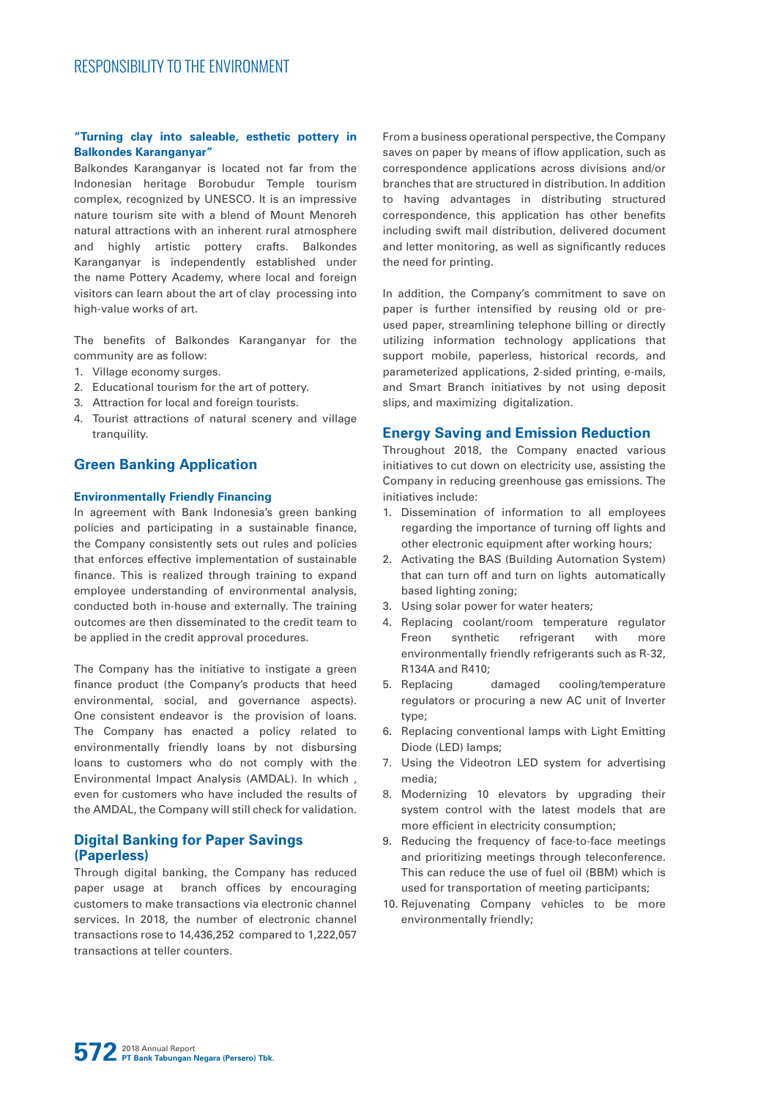## **"Turning clay into saleable, esthetic pottery in Balkondes Karanganyar"**

Balkondes Karanganyar is located not far from the Indonesian heritage Borobudur Temple tourism complex, recognized by UNESCO. It is an impressive nature tourism site with a blend of Mount Menoreh natural attractions with an inherent rural atmosphere and highly artistic pottery crafts. Balkondes Karanganyar is independently established under the name Pottery Academy, where local and foreign visitors can learn about the art of clay processing into high-value works of art.

The benefits of Balkondes Karanganyar for the community are as follow:

- 1. Village economy surges.
- 2. Educational tourism for the art of pottery.
- 3. Attraction for local and foreign tourists.
- 4. Tourist attractions of natural scenery and village tranquility.

# **Green Banking Application**

#### **Environmentally Friendly Financing**

In agreement with Bank Indonesia's green banking policies and participating in a sustainable finance, the Company consistently sets out rules and policies that enforces effective implementation of sustainable finance. This is realized through training to expand employee understanding of environmental analysis, conducted both in-house and externally. The training outcomes are then disseminated to the credit team to be applied in the credit approval procedures.

The Company has the initiative to instigate a green finance product (the Company's products that heed environmental, social, and governance aspects). One consistent endeavor is the provision of loans. The Company has enacted a policy related to environmentally friendly loans by not disbursing loans to customers who do not comply with the Environmental Impact Analysis (AMDAL). In which , even for customers who have included the results of the AMDAL, the Company will still check for validation.

# **Digital Banking for Paper Savings (Paperless)**

Through digital banking, the Company has reduced paper usage at branch offices by encouraging customers to make transactions via electronic channel services. In 2018, the number of electronic channel transactions rose to 14,436,252 compared to 1,222,057 transactions at teller counters.

From a business operational perspective, the Company saves on paper by means of iflow application, such as correspondence applications across divisions and/or branches that are structured in distribution. In addition to having advantages in distributing structured correspondence, this application has other benefits including swift mail distribution, delivered document and letter monitoring, as well as significantly reduces the need for printing.

In addition, the Company's commitment to save on paper is further intensified by reusing old or preused paper, streamlining telephone billing or directly utilizing information technology applications that support mobile, paperless, historical records, and parameterized applications, 2-sided printing, e-mails, and Smart Branch initiatives by not using deposit slips, and maximizing digitalization.

# **Energy Saving and Emission Reduction**

Throughout 2018, the Company enacted various initiatives to cut down on electricity use, assisting the Company in reducing greenhouse gas emissions. The initiatives include:

- 1. Dissemination of information to all employees regarding the importance of turning off lights and other electronic equipment after working hours;
- 2. Activating the BAS (Building Automation System) that can turn off and turn on lights automatically based lighting zoning;
- 3. Using solar power for water heaters;
- 4. Replacing coolant/room temperature regulator Freon synthetic refrigerant with more environmentally friendly refrigerants such as R-32, R134A and R410;
- 5. Replacing damaged cooling/temperature regulators or procuring a new AC unit of Inverter type;
- 6. Replacing conventional lamps with Light Emitting Diode (LED) lamps;
- 7. Using the Videotron LED system for advertising media;
- 8. Modernizing 10 elevators by upgrading their system control with the latest models that are more efficient in electricity consumption;
- 9. Reducing the frequency of face-to-face meetings and prioritizing meetings through teleconference. This can reduce the use of fuel oil (BBM) which is used for transportation of meeting participants;
- 10. Rejuvenating Company vehicles to be more environmentally friendly;

**572** 2018 Annual Report **PT Bank Tabungan Negara (Persero) Tbk.**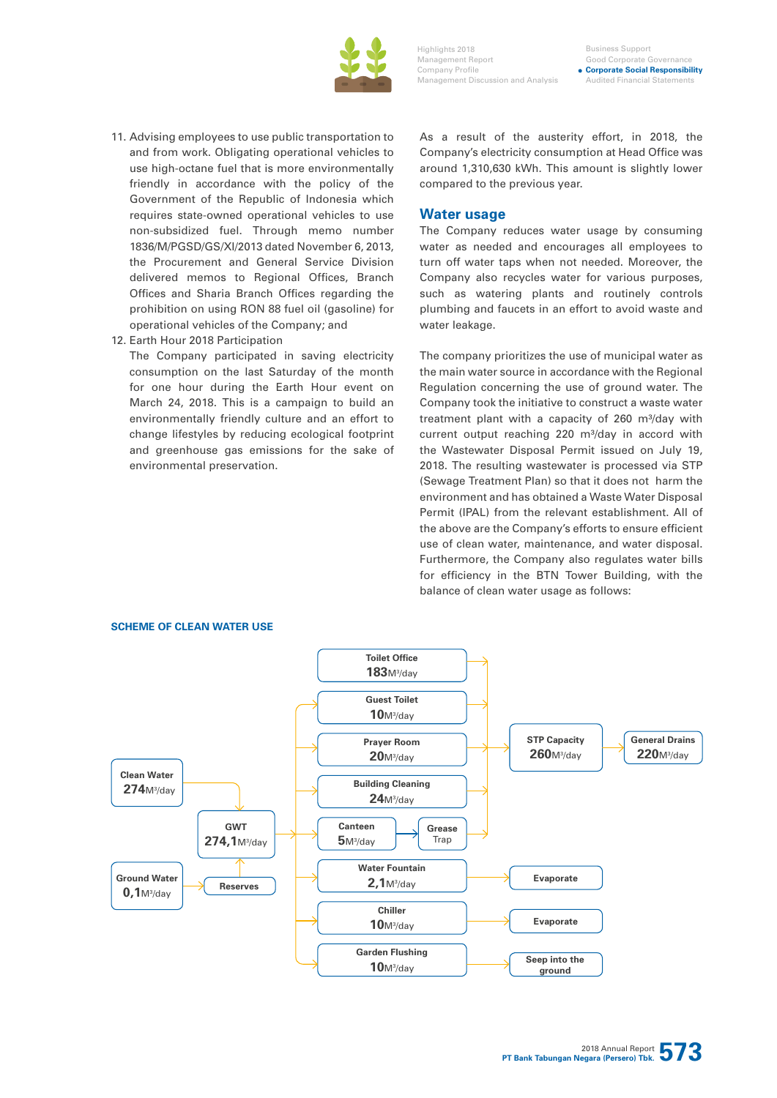

Business Support Good Corporate Governan **Corporate Social Responsibility** Audited Financial Sta

- 11. Advising employees to use public transportation to and from work. Obligating operational vehicles to use high-octane fuel that is more environmentally friendly in accordance with the policy of the Government of the Republic of Indonesia which requires state-owned operational vehicles to use non-subsidized fuel. Through memo number 1836/M/PGSD/GS/XI/2013 dated November 6, 2013, the Procurement and General Service Division delivered memos to Regional Offices, Branch Offices and Sharia Branch Offices regarding the prohibition on using RON 88 fuel oil (gasoline) for operational vehicles of the Company; and
- 12. Earth Hour 2018 Participation

The Company participated in saving electricity consumption on the last Saturday of the month for one hour during the Earth Hour event on March 24, 2018. This is a campaign to build an environmentally friendly culture and an effort to change lifestyles by reducing ecological footprint and greenhouse gas emissions for the sake of environmental preservation.

As a result of the austerity effort, in 2018, the Company's electricity consumption at Head Office was around 1,310,630 kWh. This amount is slightly lower compared to the previous year.

#### **Water usage**

The Company reduces water usage by consuming water as needed and encourages all employees to turn off water taps when not needed. Moreover, the Company also recycles water for various purposes, such as watering plants and routinely controls plumbing and faucets in an effort to avoid waste and water leakage.

The company prioritizes the use of municipal water as the main water source in accordance with the Regional Regulation concerning the use of ground water. The Company took the initiative to construct a waste water treatment plant with a capacity of 260 m<sup>3</sup>/day with current output reaching 220 m<sup>3</sup>/day in accord with the Wastewater Disposal Permit issued on July 19, 2018. The resulting wastewater is processed via STP (Sewage Treatment Plan) so that it does not harm the environment and has obtained a Waste Water Disposal Permit (IPAL) from the relevant establishment. All of the above are the Company's efforts to ensure efficient use of clean water, maintenance, and water disposal. Furthermore, the Company also regulates water bills for efficiency in the BTN Tower Building, with the balance of clean water usage as follows:



#### **SCHEME OF CLEAN WATER USE**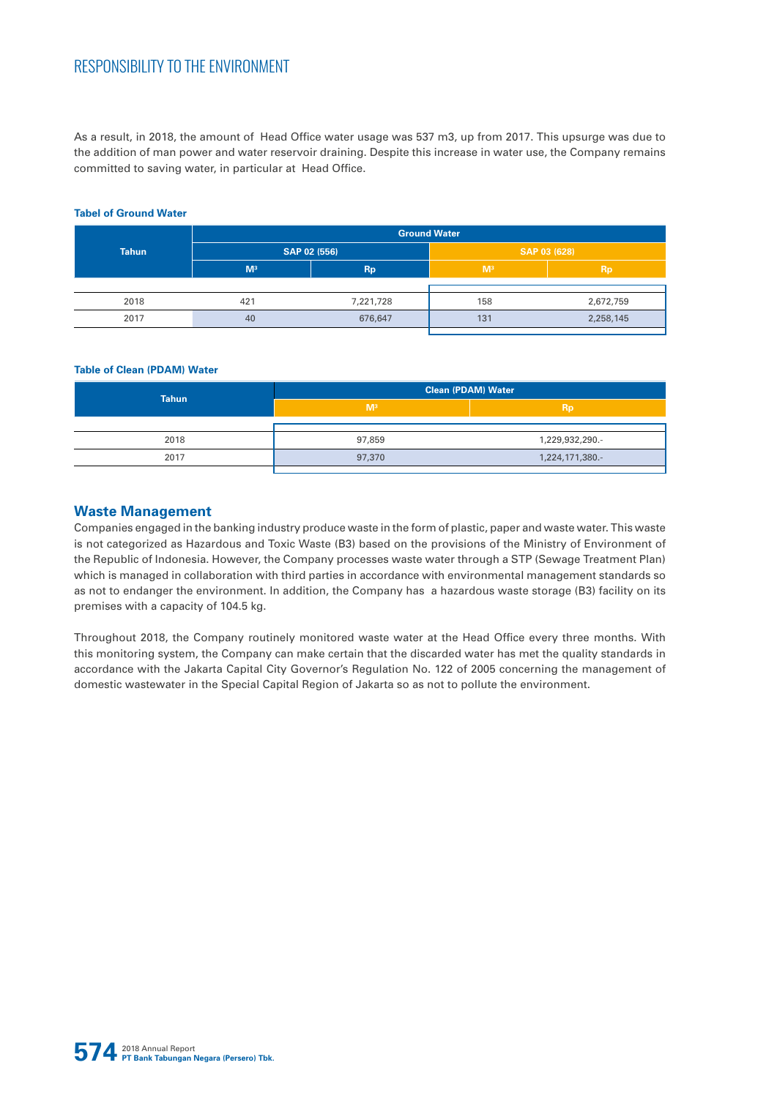# RESPONSIBILITY TO THE ENVIRONMENT

As a result, in 2018, the amount of Head Office water usage was 537 m3, up from 2017. This upsurge was due to the addition of man power and water reservoir draining. Despite this increase in water use, the Company remains committed to saving water, in particular at Head Office.

# **Tahun Ground Water SAP 02 (556) SAP 03 (628) M³ Rp M³ Rp** 2018 421 7,221,728 158 2,672,759 2017 40 676,647 131 2,258,145

### **Tabel of Ground Water**

#### **Table of Clean (PDAM) Water**

|              | <b>Clean (PDAM) Water</b> |                 |  |  |
|--------------|---------------------------|-----------------|--|--|
| <b>Tahun</b> | M <sup>3</sup>            | <b>Rp</b>       |  |  |
|              |                           |                 |  |  |
| 2018         | 97,859                    | 1,229,932,290.- |  |  |
| 2017         | 97,370                    | 1,224,171,380.- |  |  |
|              |                           |                 |  |  |

# **Waste Management**

Companies engaged in the banking industry produce waste in the form of plastic, paper and waste water. This waste is not categorized as Hazardous and Toxic Waste (B3) based on the provisions of the Ministry of Environment of the Republic of Indonesia. However, the Company processes waste water through a STP (Sewage Treatment Plan) which is managed in collaboration with third parties in accordance with environmental management standards so as not to endanger the environment. In addition, the Company has a hazardous waste storage (B3) facility on its premises with a capacity of 104.5 kg.

Throughout 2018, the Company routinely monitored waste water at the Head Office every three months. With this monitoring system, the Company can make certain that the discarded water has met the quality standards in accordance with the Jakarta Capital City Governor's Regulation No. 122 of 2005 concerning the management of domestic wastewater in the Special Capital Region of Jakarta so as not to pollute the environment.